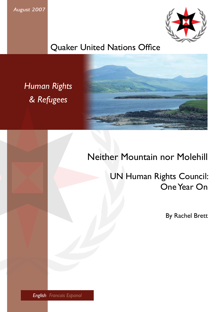*August 2007*



### Quaker United Nations Office

*Human Rights & Refugees*



### Neither Mountain nor Molehill

 UN Human Rights Council: One Year On

By Rachel Brett

*English Francais Espanol*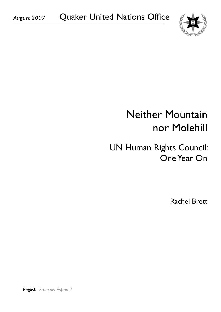

# Neither Mountain nor Molehill

## UN Human Rights Council: One Year On

Rachel Brett

*English Francais Espanol*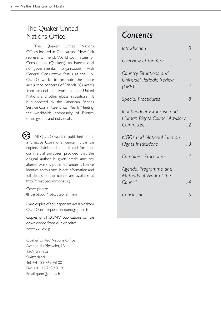#### The Quaker United Nations Office

The Quaker United Nations Offices located in Geneva and New York represents Friends World Committee for Consultation (Quakers), an international non-governmental organisation with General Consultative Status at the UN. QUNO works to promote the peace and justice concerns of Friends (Quakers) from around the world at the United Nations and other global institutions. It is supported by the American Friends Service Committee, Britain Yearly Meeting, the worldwide community of Friends. other groups and individuals.

All QUNO work is published under a Creative Commons licence. It can be copied, distributed and altered for noncommercial purposes, provided that the original author is given credit and any altered work is published under a licence identical to this one. More information and full details of the licence are available at http://creativecommons.org. **CC**

Cover photo: © Big Stock Photo: Stephen Finn

Hard copies of this paper are available from QUNO on request on quno@quno.ch

Copies of all QUNO publications can be downloaded from our website: www.quno.org

Quaker United Nations Office Avenue du Mervelet, 13 1209 Geneva Switzerland Tel: +41 22 748 48 00 Fax: +41 22 748 48 19 Email quno@quno.ch

### *Contents*

| Introduction                                                            |    |
|-------------------------------------------------------------------------|----|
| Overview of the Year                                                    | 4  |
| Country Situations and<br>Universal Periodic Review<br>(UPR)            | 4  |
| <b>Special Procedures</b>                                               | 8  |
| Independent Expertise and<br>Human Rights Council Advisory<br>Committee | 12 |
| NGOs and National Human<br>Rights Institutions                          | 13 |
| Complaint Procedure                                                     | 4  |
| Agenda, Programme and<br>Methods of Work of the<br>Council              | 4  |
| Conclusion                                                              | 15 |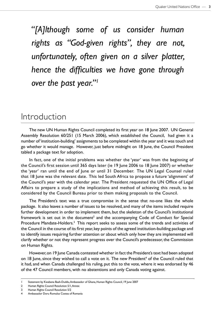*"[A]lthough some of us consider human rights as "God-given rights", they are not, unfortunately, often given on a silver platter, hence the difficulties we have gone through over the past year."1*

### Introduction

The new UN Human Rights Council completed its first year on 18 June 2007. UN General Assembly Resolution 60/251 (15 March 2006), which established the Council, had given it a number of 'institution-building' assignments to be completed within the year and it was touch and go whether it would manage. However, just before midnight on 18 June, the Council President tabled a package text for adoption.

In fact, one of the initial problems was whether the 'year' was from the beginning of the Council's first session until 365 days later (ie 19 June 2006 to 18 June 2007) or whether the 'year' ran until the end of June or until 31 December. The UN Legal Counsel ruled that 18 June was the relevant date. This led South Africa to propose a future 'alignment' of the Council's year with the calendar year. The President requested the UN Office of Legal Affairs to prepare a study of the implications and method of achieving this result, to be considered by the Council Bureau prior to them making proposals to the Council.

The President's text was a true compromise in the sense that no-one likes the whole package. It also leaves a number of issues to be resolved, and many of the items included require further development in order to implement them, but the skeleton of the Council's institutional framework is set out in the document<sup>2</sup> and the accompanying Code of Conduct for Special Procedure Mandate-Holders.<sup>3</sup> This report seeks to assess some of the trends and activities of the Council in the course of its first year, key points of the agreed institution-building package and to identify issues requiring further attention or about which only how they are implemented will clarify whether or not they represent progress over the Council's predecessor, the Commission on Human Rights.

However, on 19 June Canada contested whether in fact the President's text had been adopted on 18 June, since they wished to call a vote on it. The new President<sup>4</sup> of the Council ruled that it had, and when Canada challenged his ruling, put this to the vote, where it was endorsed by 46 of the 47 Council members, with no abstentions and only Canada voting against.

<sup>1</sup> Statement by Kwabena Baah-Duddu, Ambassador of Ghana, Human Rights Council, 19 June 2007

<sup>2</sup> Human Rights Council Resolution 5/1, Annex

<sup>3</sup> Human Rights Council Resolution 5/2

<sup>4</sup> Ambassador Doru Romulus Costea of Romania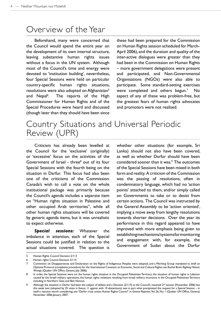#### Overview of the Year

Beforehand, many were concerned that the Council would spend the entire year on the development of its own internal structure, leaving substantive human rights issues without a focus in the UN system. Although most of the Council's time and energy were devoted to 'institution building', nevertheless, four Special Sessions were held on particular country-specific human rights situations, resolutions were also adopted on Afghanistan<sup>5</sup> and Nepal<sup>6</sup>. The reports of the High Commissioner for Human Rights and of the Special Procedures were heard and discussed (though later than they should have been since

these had been prepared for the Commission on Human Rights session scheduled for March-April 2006), and the duration and quality of the inter-active dialogues were greater than they had been in the Commission on Human Rights – more government delegations were present and participated, and Non-Governmental Organisations (NGOs) were also able to participate. Some standard-setting exercises were completed and others begun.<sup>7</sup> No aspect of any of these was problem-free, but the greatest fears of human rights advocates and promoters were not realised.

#### Country Situations and Universal Periodic Review (UPR)

Criticism has already been levelled at the Council for the 'exclusive' (originally) or 'excessive' focus on the activities of the Government of Israel - three<sup>8</sup> out of its four Special Sessions with the fourth being on the situation in Darfur. This focus had also been one of the criticisms of the Commission. Canada's wish to call a vote on the whole institutional package was primarily because the Council's agenda includes a separate item on "Human rights situation in Palestine and other occupied Arab territories", while all other human rights situations will be covered by generic agenda items, but it was unrealistic to expect otherwise.

*Special sessions:* Whatever the imbalance in attention, each of the Special Sessions could be justified in relation to the actual situations covered. The question is whether other situations (for example, Sri Lanka) should not also have been covered, as well as whether Darfur should have been considered sooner than it was.<sup>9</sup> The outcomes of the Special Sessions have been mixed in both form and reality. A criticism of the Commission was the passing of resolutions, often in condemnatory language, which had no 'action points' attached to them, and/or simply called on Governments to take or to desist from certain actions. The Council was instructed by the General Assembly to be 'action oriented', implying a move away from lengthy resolutions towards shorter decisions. Over the year its performance in this regard appeared to have improved with more emphasis being given to establishing mechanisms/systems for monitoring and engagement with, for example, the Government of Sudan about the Darfur

<sup>5</sup> Human Rights Council Decision 2/113

<sup>6</sup> Human rights Council Decision 2/114

<sup>7</sup> Convention on Disappearances and Declaration on the Rights of Indigenous Peoples were adopted, and a Working Group mandated to draft an Optional Protocol (complaints procedure) for the International Covenant on Economic, Social and Cultural Rights: see Rachel Brett: *Righting Historic Wrongs* (Quaker UN Office, Geneva, July 2006)

<sup>8</sup> In order, the Special Sessions were on: the human rights situation in the Occupied Palestinian Territory; the situation of human rights in Lebanon caused by the Israeli military operations; the human rights violations resulting from Israeli military incursions in the Occupied Palestinian Territory including in Northern Gaza and Beit Hanoun.

<sup>9</sup> Although the situation in Darfur had been the subject of debate and a Decision (2/115) at the Council's resumed 2<sup>nd</sup> session (November 2006) but this weak text (adopted by 25 votes in favour, 11 against with 10 abstentions) was in part what precipitated the request for a Special Session – in itself a reaction worth considering; see "Darfur crisis unites Human Rights Council" in *Geneva Reporter,* Vol. 26, No. 1 (Quaker UN Office, Geneva) November 2006-January 2007.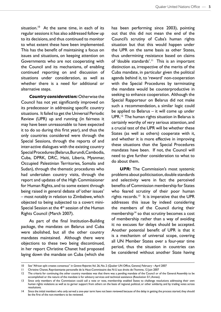situation.<sup>10</sup> At the same time, in each of its regular sessions it has also addressed follow up to its decisions, and thus continued to monitor to what extent these have been implemented. This has the benefit of maintaining a focus on issues and situations, on keeping attention on Governments who are not cooperating with the Council and its mechanisms, of enabling continued reporting on and discussion of situations under consideration, as well as whether there is a need for additional or alternative steps.

*Country consideration:* Otherwise the Council has not yet significantly improved on its predecessor in addressing specific country situations. It failed to get the Universal Periodic Review (UPR) up and running (in fairness it may have been unreasonable to have expected it to do so during this first year), and thus the only countries considered were through the Special Sessions, through the reports of and inter-active dialogues with the existing country Special Procedures (Belarus, Burundi, Cambodia, Cuba, DPRK, DRC, Haiti, Liberia, Myanmar, Occupied Palestinian Territories, Somalia and Sudan), through the thematic procedures who had undertaken country visits, through the report and updates of the High Commissioner for Human Rights, and to some extent through being raised in general debate of 'other issues' – most notably in relation to Zimbabwe, which objected to being subjected to a covert mini-Special Session at the  $4<sup>th</sup>$  session of the Human Rights Council (March 2007).

As part of the final Institution-Building package, the mandates on Belarus and Cuba were abolished, but all the other country mandates maintained. Although there were objections to these two being discontinued, in her report Christine Chanet had proposed laying down the mandate on Cuba (which she has been performing since 2003), pointing out that this did not mean the end of the Council's scrutiny of Cuba's human rights situation but that this would happen under the UPR on the same basis as other States, thus undermining resistance based on claims of 'double standards'.<sup>11</sup> This is an important distinction as, irrespective of the merits of the Cuba mandate, in particular given the political agenda behind it, to 'reward' non-cooperation with the Special Procedures by terminating the mandate would be counterproductive in seeking to enhance cooperation. Although the Special Rapporteur on Belarus did not make such a recommendation, a similar logic could be applied to Belarus – it will come up under UPR.12 The human rights situation in Belarus is certainly worthy of very serious attention, and a crucial test of the UPR will be whether these States (as well as others) cooperate with it, and whether it is more effective in improving these situations than the Special Procedures mandates have been. If not, the Council will need to give further consideration to what to do about them.

**UPR:** The Commission's most systemic problems about politicisation, double standards and selectivity were in fact the perceived benefits of Commission membership for States who feared scrutiny of their poor human rights records. $13$  It is imperative that the UPR addresses this issue by indeed considering the members of the Council during their membership<sup>14</sup> so that scrutiny becomes a cost of membership rather than a way of avoiding it: no excuses for delays should be accepted. Another potential benefit of UPR is that it is a mechanism of universal scope, covering all UN Member States over a four-year time period, thus the situation in countries can be considered without another State having

<sup>10</sup> See "African split creates consensus" in *Geneva Reporter*, Vol. 26, No. 2 (Quaker UN Office, Geneva) February – April 2007

<sup>11</sup> Christine Chanet, Représentante personelle de la Haut-Commissaire des N-U aux droits de l'homme, 12 Juin 2007

<sup>12</sup> The criteria for continuing the other country mandates was that there was a pending mandate of the Council or of the General Assembly to be accomplished or the nature of the mandate is for advisory services and technical assistance (Resolution 5/1, Annex).

<sup>13</sup> Since only members of the Commission could call a vote or vote, membership enabled States to challenge resolutions addressing their own human rights violations as well as to garner support from others on the basis of regional, political, or other solidarity, and by trading votes across resolutions.

<sup>14</sup> Since the initial members who only served a one-year term have not been reviewed because of the delay in getting the process started, they should be the first of the non-members to be reviewed.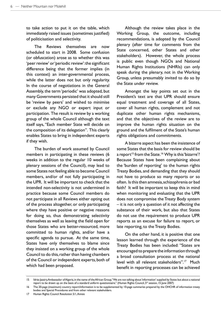to take action to put it on the table, which immediately raised issues (sometimes justified) of politicisation and selectivity.

The Reviews themselves are now scheduled to start in 2008. Some confusion (or obfuscation) arose as to whether this was 'peer review' or 'periodic review': the significant difference being that the former implies (in this context) an inter-governmental process, while the latter does not but only regularity. In the course of negotiations in the General Assembly, the term 'periodic' was adopted, but many Governments persisted that it should still be 'review by peers' and wished to minimise or exclude any NGO or expert input or participation. The result is review by a working group of the whole Council although the text itself says, "Each member State will decide on the composition of its delegation". This clearly enables States to bring in independent experts if they wish.

The burden of work assumed by Council members in participating in these reviews (6 weeks in addition to the regular 10 weeks of plenary sessions of the Council), may lead to some States not feeling able to become Council members, and/or of not fully participating in the UPR. It will be important to check that the intended non-selectivity is not undermined in practice because some Council members do not participate in all Reviews either opting out of the process altogether, or only participating where they have positive or negative reasons for doing so, thus demonstrating selectivity themselves as well as leaving the field open for those States who are better-resourced, more committed to human rights, and/or have a specific agenda to pursue. At the same time, States have only themselves to blame since they insisted on a working group of the whole Council to do this, rather than having chambers of the Council or independent experts, both of which had been proposed.

Although the review takes place in the Working Group, the outcome, including recommendations, is adopted by the Council plenary (after time for comments from the State concerned, other States and other stakeholders). However, the whole process is public even though NGOs and National Human Rights Institutions (NHRIs) can only speak during the plenary, not in the Working Group, unless presumably invited to do so by the State under review.

Amongst the key points set out in the President's text are that UPR should ensure equal treatment and coverage of all States, cover all human rights, complement and not duplicate other human rights mechanisms, and that the objectives of the review are to improve the human rights situation on the ground and the fulfilment of the State's human rights obligations and commitments.

A bizarre aspect has been the insistence of some States that the basis for review should be a report<sup>15</sup> from the State.<sup>16</sup> Why is this 'bizarre'? Because States have been complaining about the 'burden of reporting' to the human rights Treaty Bodies, and demanding that they should not have to produce so many reports or so often. Is this then amnesia, schizophrenia or bad faith? It will be important to keep this in mind when monitoring and evaluating that the UPR does not compromise the Treaty Body system – it is not only a question of it not affecting the substance of their work, but also that States do not use the requirement to produce UPR reports as an excuse for failure to report, or late reporting, to the Treaty Bodies.

On the other hand, it is positive that one lesson learned through the experience of the Treaty Bodies has been included: "States are encouraged to prepare the information through a broad consultation process at the national level with all relevant stakeholders".17 Much benefit in reporting processes can be achieved

<sup>15</sup> Idriss Jazairy, Ambassador of Algeria, in the name of the African Group, "We are not talking about 'information' supplied by States but about a national report to be drawn up on the basis of a standard uniform questionnaire." (Human Rights Council, 5<sup>th</sup> session, 15 June 2007)

<sup>16</sup> The 20-page (maximum) country report/information is to be supplemented by 10-page summaries prepared by the OHCHR of information treaty bodies and Special Procedures and from other relevant stakeholders.

<sup>17</sup> Human Rights Council Resolution 5/1, Annex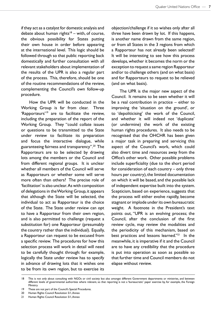if they act as a catalyst for domestic analysis and debate about human rights<sup>18</sup> – with, of course, the obvious possibility for States putting their own house in order before appearing at the international level. This logic should be followed through so that public reporting back domestically and further consultation with all relevant stakeholders about implementation of the results of the UPR is also a regular part of the process. This, therefore, should be one of the routine recommendations of the review, complementing the Council's own follow-up procedure.

How the UPR will be conducted in the Working Group is far from clear. Three 'Rapporteurs'<sup>19</sup> are to facilitate the review, including the preparation of the report of the Working Group. They "could collate issues or questions to be transmitted to the State under review to facilitate its preparation and focus the interactive dialogue, while guaranteeing fairness and transparency".20 The Rapporteurs are to be selected by drawing lots among the members or the Council and from different regional groups. It is unclear whether all members of the Council will serve as Rapporteurs or whether some will serve more often than others? The precise role of 'facilitation' is also unclear. As with composition of delegations in the Working Group, it appears that although the State will be selected, the individual to act as Rapporteur is the choice of the State. The State under review can opt to have a Rapporteur from their own region, and is also permitted to challenge (request a substitution for) one Rapporteur (presumably the country rather than the individual). Equally, a Rapporteur can request to be excused from a specific review. The procedures for how this selection process will work in detail will need to be carefully thought through: for example, logically the State under review has to specify in advance of drawing lots that it wishes one to be from its own region, but to exercise its objection/challenge if it so wishes only after all three have been drawn by lot. If this happens, is another name drawn from the same region, or from all States in the 3 regions from which a Rapporteur has not already been selected? It will be interesting to see how this process develops, whether it becomes the norm or the exception to request a same region Rapporteur and/or to challenge others (and on what basis) and for Rapporteurs to request to be relieved (and on what basis).

The UPR is the major new aspect of the Council. It remains to be seen whether it will be a real contribution in practice – either to improving the 'situation on the ground', or to 'depoliticising' the work of the Council, and whether it will indeed not 'duplicate' (or undermine) the work of the existing human rights procedures. It also needs to be recognised that the OHCHR has been given a major task in preparing and servicing this aspect of the Council's work, which could also divert time and resources away from the Office's other work. Other possible problems include superficiality (due to the short period for consideration of each country – only three hours per country), the limited documentation on which it will be based, and the possible lack of independent expertise built into the system. Scepticism, based on experience, suggests that the process will either evolve rapidly, become stagnant or implode under its own bureaucratic weight. A footnote in the President's text points out, "UPR is an evolving process; the Council, after the conclusion of the first review cycle, may review the modalities and the periodicity of this mechanism, based on best practices and lessons learned."<sup>21</sup> In the meanwhile, it is imperative if it and the Council are to have any credibility that the procedure is put into operation as soon as possible so that further time and Council members do not elapse without review.

<sup>18</sup> This is not only about consulting with NGOs or civil society but also amongst different Government departments or ministries, and between different levels of governmental authorities where relevant, so that reporting is not a 'bureaucratic' paper exercise by, for example, the Foreign Ministry.

<sup>19</sup> These are not part of the Council's Special Procedures.

<sup>20</sup> Human Rights Council Resolution 5/1, Annex

<sup>21</sup> Human Rights Council Resolution 5/1, Annex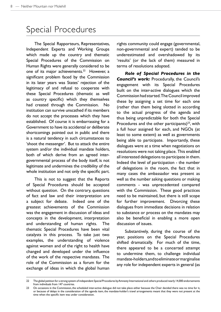### Special Procedures

The Special Rapporteurs, Representatives, Independent Experts and Working Groups which made up the country and thematic Special Procedures of the Commission on Human Rights were generally considered to be one of its major achievements.<sup>22</sup> However, a significant problem faced by the Commission in its later years was States' rejection of the legitimacy of and refusal to cooperate with these Special Procedures (thematic as well as country specific) which they themselves had created through the Commission. No institution can survive unscathed if its members do not accept the processes which they have established. Of course it is embarrassing for a Government to have its accidental or deliberate shortcomings pointed out in public and there is a natural tendency in such circumstances to 'shoot the messenger'. But to attack the entire system and/or the individual mandate holders, both of which derive from an agreed intergovernmental process of the body itself, is not legitimate and undermines the credibility of the whole institution and not only the specific part.

This is not to suggest that the Reports of Special Procedures should be accepted without question. On the contrary, questions of fact and law and their interpretation are a subject for debate. Indeed one of the greatest achievements of the Commission was the engagement in discussion of ideas and concepts in the development, interpretation and understanding of human rights. The thematic Special Procedures have been vital catalysts in this process. To take just two examples, the understanding of violence against women and of the right to health have changed and developed under the influence of the work of the respective mandates. The role of the Commission as a forum for the exchange of ideas in which the global human rights community could engage (governmental, non-governmental and expert) tended to be underestimated and overshadowed by its 'results' (or the lack of them) measured in terms of resolutions adopted.

*Role of Special Procedures in the Council's work:* Procedurally, the Council's engagement with its Special Procedures built on the inter-active dialogues which the Commission had started. The Council improved these by assigning a set time for each one (rather than them being slotted in according to the actual progress of the agenda and thus being unpredictable for both the Special Procedures and the other participants) $23$ , with a full hour assigned for each, and NGOs (at least to some extent) as well as governments being able to participate. Importantly, these dialogues were at a time when negotiations on resolutions were not taking place. This enabled all interested delegations to participate in them. Indeed the level of participation - the number of delegations in the room, the fact that in many cases the ambassador was present as well as the number asking questions or making comments - was unprecedented compared with the Commission. These good practices need to be maintained, but there is still scope for further improvement. Divorcing these dialogues from immediate decisions in relation to substance or process on the mandates may also be beneficial in enabling a more open discussion of issues.

Substantively, during the course of the year, positions on the Special Procedures shifted dramatically. For much of the time, there appeared to be a concerted attempt to undermine them, to challenge individual mandate-holders, and to eliminate or marginalise any role for independent experts in general (as

<sup>22</sup> The global petition for a strong system of independent Special Procedures by Amnesty International and others produced nearly 14,000 endorsements from individuals from 147 countries.

<sup>23</sup> On occasions in the Commission, the scheduled inter-active dialogue did not take place either because the Chair decided there was no time for it, or because of delays in the consideration of the agenda item, the mandate-holder's travel arrangements meant that they were not present at the time when the specific item was under consideration.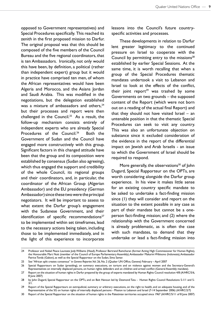opposed to Government representatives) and Special Procedures specifically. This reached its zenith in the first proposed mission to Darfur. The original proposal was that this should be composed of the five members of the Council Bureau and the five regional coordinators, that is ten Ambassadors. Ironically, not only would this have been, by definition, a political (rather than independent expert) group but it would in practice have comprised ten men, of whom the African representatives would have been Algeria and Morocco, and the Asians Jordan and Saudi Arabia. This was modified in the negotiations, but the delegation established was a mixture of ambassadors and others,<sup>24</sup> but their processes and report were then challenged in the Council.25 As a result, the follow-up mechanism consists entirely of independent experts who are already Special Procedures of the Council.<sup>26</sup> Both the Government of Sudan and the Council have engaged more constructively with this group. Significant factors in this changed attitude have been that the group and its composition were established by consensus (Sudan also agreeing), which thus engaged the support and credibility of the whole Council, its regional groups and their coordinators, and, in particular, the coordinator of the African Group (Algerian Ambassador) and the EU presidency (German Ambassador) since these two were the principal negotiators. It will be important to assess to what extent the Darfur group's engagement with the Sudanese Government, and their identification of specific recommendations $27$ to be implemented within set timeframes, lead to the necessary actions being taken, including those to be implemented immediately, and in the light of this experience to incorporate

lessons into the Council's future countryspecific activities and processes.

These developments in relation to Darfur lent greater legitimacy to the continued pressure on Israel to cooperate with the Council by permitting entry to the missions $28$ established by earlier Special Sessions. At the same time, it is worth recalling that when a group of the Special Procedures thematic mandates undertook a visit to Lebanon and Israel to look at the effects of the conflict, their joint report<sup>29</sup> was trashed by some Governments on two grounds – the supposed content of the Report (which were not born out on a reading of the actual final Report) and that they should not have visited Israel – an untenable position in that the thematic Special Procedures can seek to visit any country. This was also an unfortunate objection on substance since it excluded consideration of the evidence in the report of the differential impact on Jewish and Arab Israelis - an issue to which the Government of Israel should be required to respond.

More generally, the observations $30$  of John Dugard, Special Rapporteur on the OPTs, are worth considering alongside the Darfur group experience. In his view it makes little sense for an existing country specific mandate to be asked to undertake a fact-finding mission since (1) they will consider and report on the situation to the extent possible in any case as part of their mandate but cannot be a oneperson fact-finding mission; and (2) where the relationship with the Government concerned is already problematic, as is often the case with such mandates, to demand that they undertake or lead a fact-finding mission into

<sup>24</sup> Professor and Nobel Peace Laureate Jody Williams (Head), Professor Bertrand Ramcharan (former Acting High Commissioner for Human Rights), the Honourable Mart Nutt (member of the Council of Europe Parliamentary Assembly), Ambassador Makarim Wibisono (Indonesia), Ambassador Patrice Tonda (Gabon), as well as the Special Rapporteur on the Sudan, Sima Samar.

<sup>25</sup> See "African split creates consensus" in *Geneva Reporter*, Vol. 26, No. 2 (Quaker UN Office, Geneva) February – April 2007

<sup>26</sup> Special Rapporteurs on Sudan (presiding), on summary executions, on torture and on violence against women and the Secretary-General's Representatives on internally displaced persons, on human rights defenders and on children and armed conflict (General Assembly mandate).

<sup>27</sup> Report on the situation of human rights in Darfur prepared by the group of experts mandated by Human Rights Council resolution 4/8 (A/HRC/5/6, 8 June 2007)

<sup>28</sup> by John Dugard, Special Rapporteur on the OPTs, and on Beit Hanoun led by Desmond Tutu - Human Rights Council Resolutions S-1/1 and S-3/1.

<sup>29</sup> Report of the Special Rapporteurs on extrajudicial, summary or arbitrary executions, on the right to health, and on adequate housing, and of the Representative of the SG on human rights of internally displaced persons - Mission to Lebanon and Israel (7-14 September 2006) (A/HRC/2/7)

<sup>30</sup> Report of the Special Rapporteur on the situation of human rights in the Palestinian territories occupied since 1967 (A/HRC/5/11 of 8 June 2007)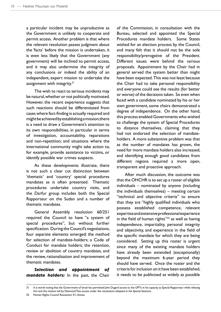a particular incident may be unproductive as the Government is unlikely to cooperate and permit access. Another problem is that where the relevant resolution passes judgment about the 'facts' before the mission is undertaken, it is even less likely that the Government (any government) will be inclined to permit access, and it may also undermine the integrity of any conclusions or indeed the ability of an independent, expert mission to undertake the assignment with integrity.<sup>31</sup>

The wish to react to serious incidents may be natural, whether or not politically motivated. However, the recent experience suggests that such reactions should be differentiated from cases where fact-finding is actually required and might be achieved by establishing a mission; there is a need to draw a Government's attention to its own responsibilities, in particular in terms of investigation, accountability, reparations and non-repetition; and situations where the international community might take action to, for example, provide assistance to victims, or identify possible war crimes suspects.

As these developments illustrate, there is not such a clear cut distinction between 'thematic' and 'country' special procedures mandates as is often presented. Thematic procedures undertake country visits, and the Darfur group includes both the Special Rapporteur on the Sudan and a number of thematic mandates.

General Assembly resolution 60/251 required the Council to have "a system of special procedures", but without further specification. During the Council's negotiations, four separate elements emerged: the method for selection of mandate-holders; a Code of Conduct for mandate holders; the retention, review or abolition of country mandates, and the review, rationalisation and improvement of thematic mandates.

*Selection and appointment of mandate holders:* In the past, the Chair of the Commission, in consultation with the Bureau, selected and appointed the Special Procedures mandate holders. Some States wished for an election process by the Council, and many felt that it should not be the sole responsibility/prerogative of the President. Different issues were behind the various proposals. Appointment by the Chair had in general served the system better than might have been expected. This was not least because the Chair had to take personal responsibility and everyone could see the results (for better or worse) of the decisions taken. So even when faced with a candidate nominated by his or her own government, some chairs demonstrated a degree of independence. On the other hand, this process enabled Governments who wished to challenge the system of Special Procedures to distance themselves, claiming that they had not endorsed the selection of mandateholders. A more substantive problem was that as the number of mandates has grown, the need for more mandate holders also increased, and identifying enough good candidates from different regions required a more open, transparent and proactive approach.

After much discussion, the outcome was that the OHCHR is to set up a roster of eligible individuals – nominated by anyone (including the individuals themselves) – meeting certain "technical and objective criteria" to ensure that they are "highly qualified individuals who possess established competence, relevant expertise and extensive professional experience in the field of human rights" $32$  as well as having independence, impartiality, personal integrity and objectivity, and experience in the field of the specific mandate for which they are being considered. Setting up this roster is urgent since many of the existing mandate holders have already been extended (exceptionally) beyond the maximum 6-year period they should have served. Once the roster and the criteria for inclusion on it have been established, it needs to be publicised as widely as possible

<sup>31</sup> It is worth noting that the Government of Israel has permitted John Dugard access to the OPTs in his capacity as Special Rapporteur while refusing him and the mission led by Desmond Tutu access under the resolutions adopted at the Special Sessions.

<sup>32</sup> Human Rights Council Resolution 5/1, Annex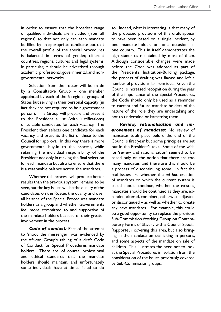in order to ensure that the broadest range of qualified individuals are included (from all regions) so that not only can each mandate be filled by an appropriate candidate but that the overall profile of the special procedures is balanced in terms of gender, different countries, regions, cultures and legal systems. In particular, it should be advertised through academic, professional, governmental, and nongovernmental networks.

Selection from the roster will be made by a Consultative Group – one member appointed by each of the 5 regional groups of States but serving in their personal capacity (in fact they are not required to be a government person). This Group will prepare and present to the President a list (with justifications) of suitable candidates for each vacancy. The President then selects one candidate for each vacancy and presents the list of these to the Council for approval. In this way, there is more governmental buy-in to the process, while retaining the individual responsibility of the President not only in making the final selection for each mandate but also to ensure that there is a reasonable balance across the mandates.

Whether this process will produce better results than the previous system remains to be seen, but the key issues will be the quality of the candidates on the Roster, the quality and over all balance of the Special Procedures mandate holders as a group and whether Governments feel more committed to and supportive of the mandate holders because of their greater involvement in the process.

*Code of conduct:* Part of the attempt to 'shoot the messenger' was evidenced by the African Group's tabling of a draft Code of Conduct for Special Procedures mandate holders. There are, of course, professional and ethical standards that the mandate holders should maintain, and unfortunately some individuals have at times failed to do so. Indeed, what is interesting is that many of the proposed provisions of this draft appear to have been based on a single incident, by one mandate-holder, on one occasion, in one country. This in itself demonstrates the high standards maintained by most of them. Although considerable changes were made before the Code was adopted as part of the President's Institution-Building package, the process of drafting was flawed and left a number of provisions far from ideal. Given the Council's increased recognition during the year of the importance of the Special Procedures, the Code should only be used as a reminder to current and future mandate holders of the nature of the role they are undertaking and not to undermine or hamstring them.

*Review, rationalisation and improvement of mandates:* No review of mandates took place before the end of the Council's first year but some principles are set out in the President's text. Some of the wish for 'review and rationalisation' seemed to be based only on the notion that there are too many mandates, and therefore this should be a process of discontinuing some. In fact the real issues are whether the *ad hoc* creation of mandates on which the current system is based should continue, whether the existing mandates should be continued as they are, expanded, altered, combined, otherwise adjusted or discontinued – as well as whether to create any new mandates. For example, this could be a good opportunity to replace the previous Sub-Commission Working Group on Contemporary Forms of Slavery with a Council Special Rapporteur covering this area, but also bringing in the mandate on trafficking in persons, and some aspects of the mandate on sale of children. This illustrates the need not to look at the Special Procedures in isolation from the consideration of the issues previously covered by Sub-Commission groups.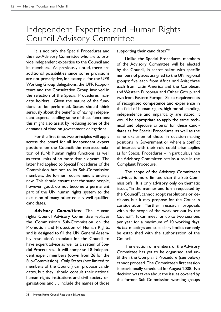### Independent Expertise and Human Rights Council Advisory Committee

It is not only the Special Procedures and the new Advisory Committee who are to provide independent expertise to the Council and its members. As previously noted, there are additional possibilities since some provisions are not prescriptive, for example, for the UPR Working Group delegations, the UPR Rapporteurs and the Consultative Group involved in the selection of the Special Procedures mandate holders. Given the nature of the functions to be performed, States should think seriously about the benefits of having independent experts handling some of these functions: this might also assist by reducing some of the demands of time on government delegations.

For the first time, two principles will apply across the board for all independent expert positions on the Council: the non-accumulation of (UN) human rights functions as well as term limits of no more than six years. The latter had applied to Special Procedures of the Commission but not to its Sub-Commission members; the former requirement is entirely new. This should ensure that the same people, however good, do not become a permanent part of the UN human rights system to the exclusion of many other equally well qualified candidates.

*Advisory Committee:* The Human rights Council Advisory Committee replaces the Commission's Sub-Commission on the Promotion and Protection of Human Rights, and is designed to fill the UN General Assembly resolution's mandate for the Council to have expert advice as well as a system of Special Procedures. It will comprise 18 independent expert members (down from 26 for the Sub-Commission). Only States (not limited to members of the Council) can propose candidates, but they "should consult their national human rights institutions and civil society organisations and … include the names of those supporting their candidates"<sup>33</sup>.

Unlike the Special Procedures, members of the Advisory Committee will be elected by the Council, in secret ballot, with specific numbers of places assigned to the UN regional groups: five each from Africa and Asia; three each from Latin America and the Caribbean, and Western European and Other Group, and two from Eastern Europe. Since requirements of recognised competence and experience in the field of human rights, high moral standing, independence and impartiality are stated, it would be appropriate to apply the same 'technical and objective criteria' for these candidates as for Special Procedures, as well as the same exclusion of those in decision-making positions in Government or where a conflict of interest with their role could arise applies as for Special Procedures – in particular, since the Advisory Committee retains a role in the Complaint Procedure.

The scope of the Advisory Committee's activities is more limited than the Sub-Commission's. It is only advisory, only on thematic issues, "in the manner and form requested by the Council", cannot adopt resolutions or decisions, but it may propose for the Council's consideration "further research proposals within the scope of the work set out by the Council". It can meet for up to two sessions per year for a maximum of 10 working days. *Ad hoc* meetings and subsidiary bodies can only be established with the authorisation of the Council.

The election of members of the Advisory Committee has yet to be organised, and until then the Complaint Procedure (see below) cannot proceed. The Committee's first session is provisionally scheduled for August 2008. No decision was taken about the issues covered by the former Sub-Commission working groups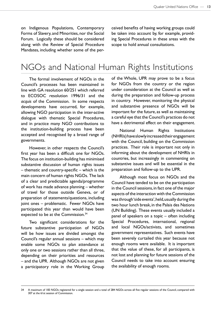on Indigenous Populations, Contemporary Forms of Slavery, and Minorities, nor the Social Forum. Logically these should be considered along with the Review of Special Procedure Mandates, including whether some of the perceived benefits of having working groups could be taken into account by, for example, providing Special Procedures in these areas with the scope to hold annual consultations.

### NGOs and National Human Rights Institutions

The formal involvement of NGOs in the Council's processes has been maintained in line with GA resolution 60/251 which referred to ECOSOC resolution 1996/31 and the *acquis* of the Commission. In some respects developments have occurred, for example, allowing NGO participation in the inter-active dialogue with thematic Special Procedures, and in practice many NGO contributions to the institution-building process have been accepted and recognised by a broad range of governments.

However, in other respects the Council's first year has been a difficult one for NGOs. The focus on institution-building has minimised substantive discussion of human rights issues – thematic and country-specific – which is the main concern of human rights NGOs. The lack of a clear and predictable agenda/programme of work has made advance planning – whether of travel for those outside Geneva, or of preparation of statements/questions, including joint ones – problematic. Fewer NGOs have participated this year than would have been expected to be at the Commission.<sup>34</sup>

Two significant considerations for the future substantive participation of NGOs will be how issues are divided amongst the Council's regular annual sessions – which may enable some NGOs to plan attendance at only one or two sessions rather than all three, depending on their priorities and resources – and the UPR. Although NGOs are not given a participatory role in the Working Group of the Whole, UPR may prove to be a focus for NGOs from the country or the region under consideration at the Council as well as during the preparation and follow-up process in country. However, monitoring the physical and substantive presence of NGOs will be important for the future, as well as maintaining a careful eye that the Council's practices do not have a detrimental effect on their engagement.

National Human Rights Institutions (NHRIs) have slowly increased their engagement with the Council, building on the Commission practices. Their role is important not only in informing about the development of NHRIs in countries, but increasingly in commenting on substantive issues and will be essential in the preparation and follow-up to the UPR.

Although most focus on NGOs and the Council have tended to be on the participation in the Council sessions, in fact one of the major aspects of the interaction with the Commission was through 'side events', held, usually during the two hour lunch break, in the Palais des Nations (UN Building). These events usually included a panel of speakers on a topic – often including Special Procedures, international, regional and local NGOs/activists, and sometimes government representatives. Such events have been severely curtailed this year because not enough rooms were available. It is important that the value of these, for all participants, is not lost and planning for future sessions of the Council needs to take into account ensuring the availability of enough rooms.

<sup>34</sup> A maximum of 183 NGOs registered for a single session and a total of 284 NGOs across all five regular sessions of the Council, compared with 307 at the 61st session of Commission.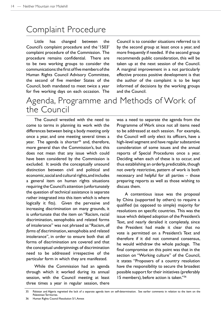### Complaint Procedure

Little has changed between the Council's complaint procedure and the '1503' complaint procedure of the Commission. The procedure remains confidential. There are to be two working groups to consider the communications: the first of five members of the Human Rights Council Advisory Committee, the second of five member States of the Council, both mandated to meet twice a year for five working days on each occasion. The

Council is to consider situations referred to it by the second group at least once a year, and more frequently if needed. If the second group recommends public consideration, this will be taken up at the next session of the Council. A marginal improvement in a not particularly effective process positive development is that the author of the complaint is to be kept informed of decisions by the working groups and the Council.

### Agenda, Programme and Methods of Work of the Council

The Council wrestled with the need to come to terms in planning its work with the differences between being a body meeting only once a year, and one meeting several times a year. The agenda is shorter<sup>35</sup> and, therefore, more general than the Commission's, but this does not mean that any issue which could have been considered by the Commission is excluded. It avoids the conceptually unsound distinction between civil and political and economic, social and cultural rights, and includes a general item on human rights situations requiring the Council's attention (unfortunately the question of technical assistance is separate rather integrated into this item which is where logically it fits). Given the pervasive and increasing discrimination on many grounds, it is unfortunate that the item on "Racism, racial discrimination, xenophobia and related forms of intolerance" was not phrased as "Racism, *all forms of* discrimination, xenophobia and related intolerance", in order to ensure both that all forms of discrimination are covered and that the conceptual underpinnings of discrimination need to be addressed irrespective of the particular form in which they are manifested.

While the Commission had an agenda through which it worked during its annual session, with the Council meeting at least three times a year in regular session, there was a need to separate the agenda from the Programme of Work since not all items need to be addressed at each session. For example, the Council will only elect its officers, have a high-level segment and have regular substantive consideration of some issues and the annual reports of Special Procedures once a year. Deciding when each of these is to occur, and thus establishing an orderly, predictable, though not overly restrictive, pattern of work is both necessary and helpful for all parties – those preparing reports as well as those wishing to discuss them.

A contentious issue was the proposal by China (supported by others) to require a qualified (as opposed to simple) majority for resolutions on specific countries. This was the issue which delayed adoption of the President's Text, and nearly derailed it completely, since the President had made it clear that no vote is permitted on a President's Text and therefore if it did not command consensus, he would withdraw the whole package. The final compromise on this point was that in the section on "Working culture" of the Council, it states "Proposers of a country resolution have the responsibility to secure the broadest possible support for their initiatives (preferably 15 members), before action is taken."36

<sup>35</sup> Pakistan and Algeria regretted the lack of a separate agenda item on self-determination. See earlier comments in relation to the item on the Palestinian Territories.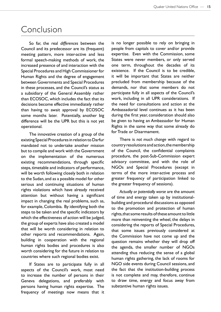#### Conclusion

So far, the real *differences* between the Council and its predecessor are its (frequent) meeting pattern, more inter-active and less formal speech-making methods of work, the increased presence of and interaction with the Special Procedures and High Commissioner for Human Rights and the degree of engagement between Governments and Special Procedures in these processes, and the Council's status as a subsidiary of the General Assembly rather than ECOSOC, which includes the fact that its decisions become effective immediately rather than having to await approval by ECOSOC some months later. Potentially, another big difference will be the UPR but this is not yet operational.

The innovative creation of a group of the existing Special Procedures in relation to Darfur mandated not to undertake another mission but to compile and work with the Government on the implementation of the numerous existing recommendations, through specific steps, timetable and indicators of performance, will be worth following closely both in relation to the Sudan, and as a possible model for other serious and continuing situations of human rights violations which have already received attention but without having a significant impact in changing the real problems, such as, for example, Colombia. By identifying both the steps to be taken and the specific indicators by which the effectiveness of action will be judged, the group of experts have also created a model that will be worth considering in relation to other reports and recommendations. Again, building in cooperation with the regional human rights bodies and procedures is also worth considering for the future in relation to countries where such regional bodies exist.

If States are to participate fully in all aspects of the Council's work, most need to increase the number of persons in their Geneva delegations, and preferably with persons having human rights expertise. The frequency of meetings now means that it is no longer possible to rely on bringing in people from capitals to cover and/or provide expertise. Even with the Commission, some States were never members, or only served one term, throughout the decades of its existence. If the Council is to be credible, it will be important that States are neither precluded from membership because of the demands, nor that some members do not participate fully in all aspects of the Council's work, including in all UPR considerations. If the need for consultations and action at the Ambassadorial level continues as it has been during the first year, consideration should also be given to having an Ambassador for Human Rights in the same way that some already do for Trade or Disarmament.

There is *not much change* with regard to country resolutions and action, the membership of the Council, the confidential complaints procedure, the post-Sub-Commission expert advisory committee, and with the role of NGOs and Special Procedures (except in terms of the more inter-active process and greater frequency of participation linked to the greater frequency of sessions).

*Actually or potentially worse* are the amount of time and energy taken up by institutionalbuilding and procedural discussions as opposed to the promotion and protection of human rights, that some results of these amount to little more than reinventing the wheel, the delays in considering the reports of Special Procedures, that some issues previously considered at the Commission have not come up and the question remains whether they will drop off the agenda, the smaller number of NGOs attending thus reducing the sense of a global human rights gathering, the lack of rooms for NGO side events during Council sessions, and the fact that the institution-building process is not complete and may, therefore, continue to draw time, energy and focus away from substantive human rights issues.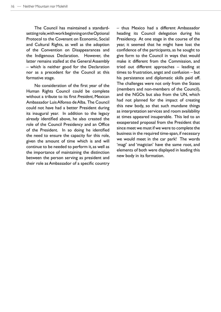The Council has maintained a standardsetting role, with work beginning on the Optional Protocol to the Covenant on Economic, Social and Cultural Rights, as well as the adoption of the Convention on Disappearances and the Indigenous Declaration. However, the latter remains stalled at the General Assembly – which is neither good for the Declaration nor as a precedent for the Council at this formative stage.

No consideration of the first year of the Human Rights Council could be complete without a tribute to its first *President*, Mexican Ambassador Luis Alfonso de Alba. The Council could not have had a better President during its inaugural year. In addition to the legacy already identified above, he also created the role of the Council Presidency and an Office of the President. In so doing he identified the need to ensure the capacity for this role, given the amount of time which is and will continue to be needed to perform it, as well as the importance of maintaining the distinction between the person serving as president and their role as Ambassador of a specific country

– thus Mexico had a different Ambassador heading its Council delegation during his Presidency. At one stage in the course of the year, it seemed that he might have lost the confidence of the participants, as he sought to give form to the Council in ways that would make it different from the Commission, and tried out different approaches – leading at times to frustration, angst and confusion – but his persistence and diplomatic skills paid off. The challenges were not only from the States (members and non-members of the Council), and the NGOs but also from the UN, which had not planned for the impact of creating this new body, so that such mundane things as interpretation services and room availability at times appeared insuperable. This led to an exasperated proposal from the President that since meet we must if we were to complete the business in the required time-span, if necessary we would meet in the car park! The words 'magi' and 'magician' have the same root, and elements of both were displayed in leading this new body in its formation.